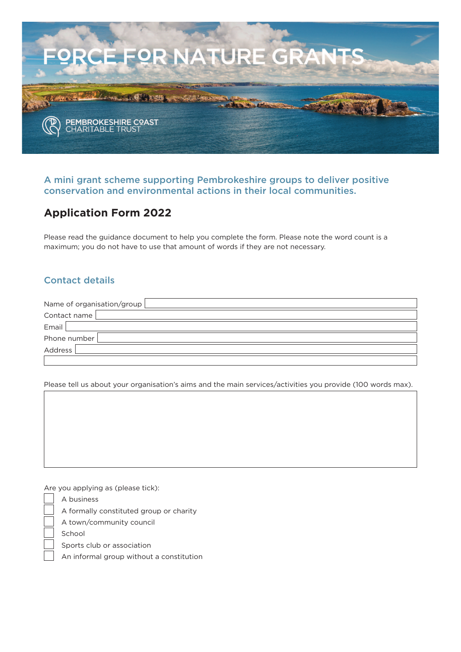

#### **A mini grant scheme supporting Pembrokeshire groups to deliver positive conservation and environmental actions in their local communities.**

# **Application Form 2022**

Please read the guidance document to help you complete the form. Please note the word count is a maximum; you do not have to use that amount of words if they are not necessary.

## **Contact details**

| Name of organisation/group |  |
|----------------------------|--|
| Contact name               |  |
| Email                      |  |
| Phone number               |  |
| Address                    |  |
|                            |  |

Please tell us about your organisation's aims and the main services/activities you provide (100 words max).

Are you applying as (please tick):

A business

A formally constituted group or charity

A town/community council

School

Sports club or association

An informal group without a constitution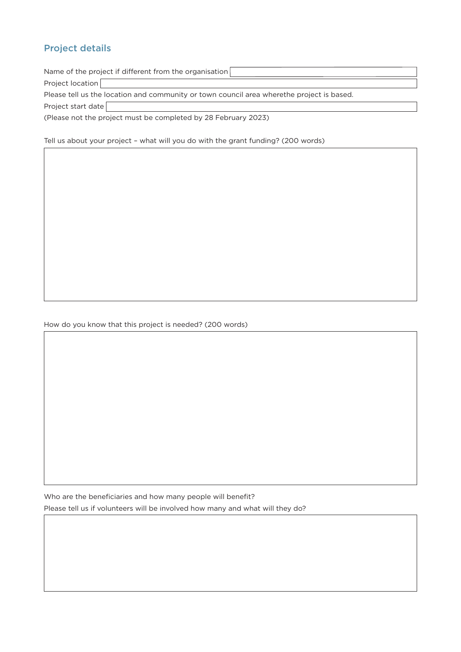# **Project details**

| Name of the project if different from the organisation                                    |  |
|-------------------------------------------------------------------------------------------|--|
| Project location                                                                          |  |
| Please tell us the location and community or town council area wherethe project is based. |  |
| Project start date                                                                        |  |
| (Please not the project must be completed by 28 February 2023)                            |  |

Tell us about your project – what will you do with the grant funding? (200 words)

Who are the beneficiaries and how many people will benefit? Please tell us if volunteers will be involved how many and what will they do?

How do you know that this project is needed? (200 words)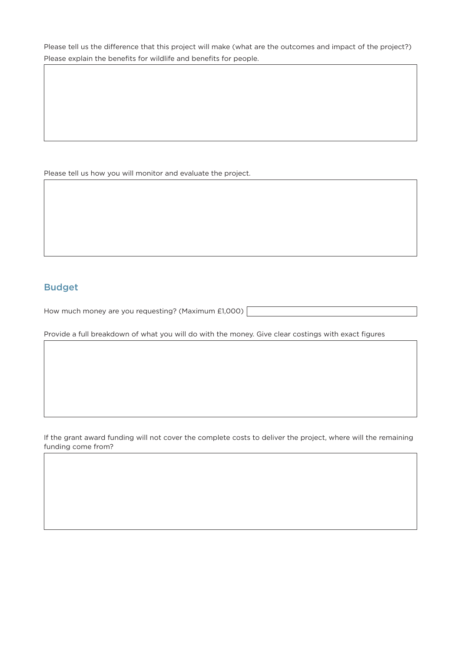Please tell us the difference that this project will make (what are the outcomes and impact of the project?) Please explain the benefits for wildlife and benefits for people.

Please tell us how you will monitor and evaluate the project.

### **Budget**

How much money are you requesting? (Maximum £1,000)

Provide a full breakdown of what you will do with the money. Give clear costings with exact figures

If the grant award funding will not cover the complete costs to deliver the project, where will the remaining funding come from?